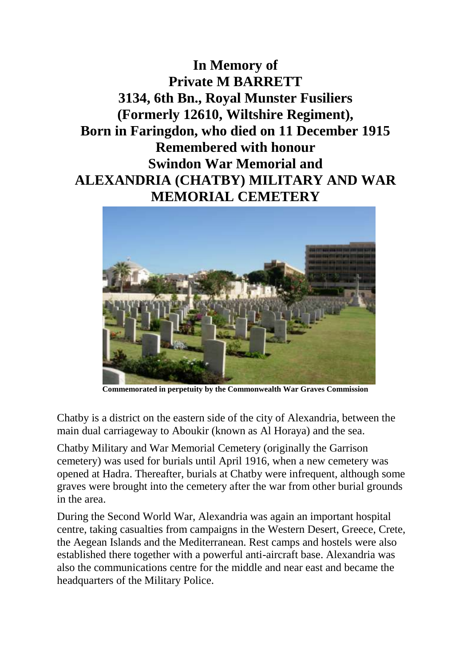**In Memory of Private M BARRETT 3134, 6th Bn., Royal Munster Fusiliers (Formerly 12610, Wiltshire Regiment), Born in Faringdon, who died on 11 December 1915 Remembered with honour Swindon War Memorial and ALEXANDRIA (CHATBY) MILITARY AND WAR MEMORIAL CEMETERY**



**Commemorated in perpetuity by the Commonwealth War Graves Commission** 

Chatby is a district on the eastern side of the city of Alexandria, between the main dual carriageway to Aboukir (known as Al Horaya) and the sea.

Chatby Military and War Memorial Cemetery (originally the Garrison cemetery) was used for burials until April 1916, when a new cemetery was opened at Hadra. Thereafter, burials at Chatby were infrequent, although some graves were brought into the cemetery after the war from other burial grounds in the area.

During the Second World War, Alexandria was again an important hospital centre, taking casualties from campaigns in the Western Desert, Greece, Crete, the Aegean Islands and the Mediterranean. Rest camps and hostels were also established there together with a powerful anti-aircraft base. Alexandria was also the communications centre for the middle and near east and became the headquarters of the Military Police.